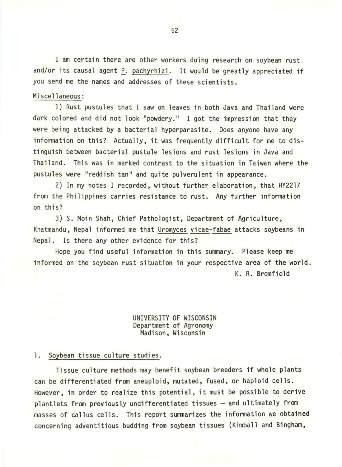I am certain there are other workers doing research on soybean rust and/or its causal agent P. pachyrhizi. It would be greatly appreciated if you send me the names and addresses of these scientists.

## Miscellaneous:

1) Rust pustules that I saw on leaves in both Java and Thailand were dark colored and did not look "powdery." I got the impression that they were being attacked by a bacterial hyperparasite. Does anyone have any infonnation on this? Actually, it was frequently difficult for me to distinguish between bacterial pustule lesions and rust lesions in Java and Thailand. This was in marked contrast to the situation in Taiwan where the pustules were "reddish tan" and quite pulverulent in appearance.

2) In my notes I recorded, without further elaboration, that HY2217 from the Philippines carries resistance to rust. Any further information on this?

3) S. Moin Shah, Chief Pathologist, Department of Agriculture, Khatmandu, Nepal informed me that Uromyces vicae-fabae attacks soybeans in Nepal. Is there any other evidence for this?

Hope you find useful information in this summary. Please keep me informed on the soybean rust situation in your respective area of the world.

K. R. Bromfield

## UNIVERSITY OF WISCONSIN Department of Agronomy Madison, Wisconsin

## 1. Soybean tissue culture studies.

Tissue culture methods may benefit soybean breeders if whole plants can be differentiated from aneuploid, mutated, fused, or haploid cells. However, in order to realize this potential, it must be possible to derive plantlets from previously undifferentiated tissues - and ultimately from masses of callus cells. This report summarizes the information we obtained concerning adventitious budding from soybean tissues (Kimball and Bingham,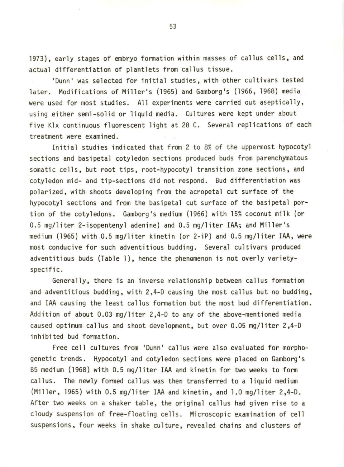1973), early stages of embryo fonnation within masses of callus cells, and actual differentiation of plantlets from callus tissue.

'Dunn' was selected for initial studies, with other cultivars tested later. Modifications of Miller's (1965) and Gamborg's (1966, 1968) media were used for most studies. All experiments were carried out aseptically, using either semi-solid or liquid media. Cultures were kept under about five Klx continuous fluorescent light at 28 C. Several replications of each treatment were examined.

Initial studies indicated that from 2 to 8% of the uppennost hypocotyl sections and basipetal cotyledon sections produced buds from parenchymatous somatic cells, but root tips, root-hypocotyl transition zone sections, and cotyledon mid- and tip-sections did not respond. Bud differentiation was polarized, with shoots developing from the acropetal cut surface of the hypocotyl sections and from the basipetal cut surface of the basipetal portion of the cotyledons. Gamborg's medium (1966) with 15% coconut milk (or 0.5 mg/liter 2-isopentenyl adenine) and 0.5 mg/liter IAA; and Miller's medium (1965) with 0.5 mg/liter kinetin (or 2-iP) and 0.5 mg/liter IAA, were most conducive for such adventitious budding. Several cultivars produced adventitious buds (Table 1), hence the phenomenon is not overly varietyspecific.

Generally, there is an inverse relationship between callus formation and adventitious budding, with 2,4-D causing the most callus but no budding, and IAA causing the least callus formation but the most bud differentiation. Addition of about 0.03 mg/liter 2,4-D to any of the above-mentioned media caused optimum callus and shoot development, but over 0.05 mg/liter 2,4-D inhibited bud formation.

Free cell cultures from 'Dunn' callus were also evaluated for morphogenetic trends. Hypocotyl and cotyledon sections were placed on Gamborg's 85 medium (1968) with 0.5 mg/liter IAA and kinetin for two weeks to fonn callus. The newly formed callus was then transferred to a liquid medium (Miller, 1965) with 0.5 mg/liter IAA and kinetin, and 1.0 mg/liter 2,4-D. After two weeks on a shaker table, the original callus had given rise to a cloudy suspension of free-floating cells. Microscopic examination of cell suspensions, four weeks in shake culture, revealed chains and clusters of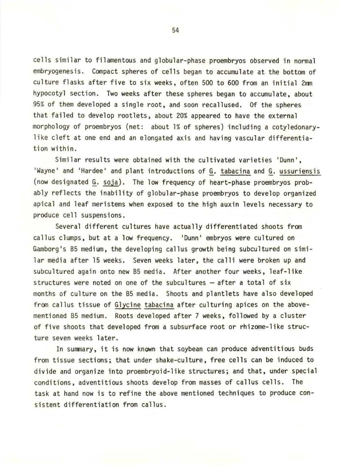cells similar to filamentous and globular-phase proembryos observed in nonnal embryogenesis. Compact spheres of cells began to accumulate at the bottom of culture flasks after five to six weeks, often 500 to 600 from an initial  $2<sub>mm</sub>$ hypocotyl section. Two weeks after these spheres began to accumulate, about 95% of them developed a single root, and soon recallused. Of the spheres that failed to develop rootlets, about 20% appeared to have the external morphology of proembryos (net: about 1% of spheres) including a cotyledonarylike cleft at one end and an elongated axis and having vascular differentiation within.

Similar results were obtained with the cultivated varieties 'Dunn', 'Wayne' and 'Hardee' and plant introductions of G. tabacina and G. ussuriensis (now designated§\_. soja). The low frequency of heart-phase proembryos probably reflects the inability of globular-phase proembryos to develop organized apical and leaf meristems when exposed to the high auxin levels necessary to produce cell suspensions.

Several different cultures have actually differentiated shoots from callus clumps, but at a low frequency. 'Dunn' embryos were cultured on Gamborg's 85 medium, the developing callus growth being subcultured on similar media after 15 weeks. Seven weeks later, the calli were broken up and subcultured again onto new 85 media. After another four weeks, leaf-like structures were noted on one of the subcultures  $-$  after a total of six months of culture on the 85 media. Shoots and plantlets have also developed from callus tissue of Glycine tabacina after culturing apices on the abovementioned 85 medium. Roots developed after 7 weeks, followed by a cluster of five shoots that developed from a subsurface root or rhizome-like structure seven weeks later.

In summary, it is now known that soybean can produce adventitious buds from tissue sections; that under shake-culture, free cells can be induced to divide and organize into proembryoid-like structures; and that, under special conditions, adventitious shoots develop from masses of callus cells. The task at hand now is to refine the above mentioned techniques to produce consistent differentiation from callus.

54